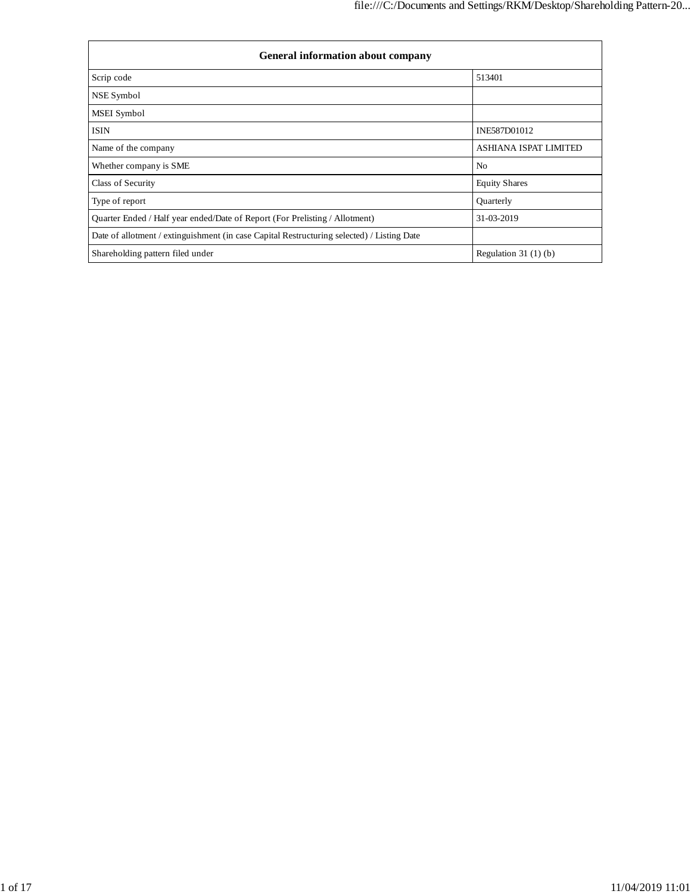| <b>General information about company</b>                                                   |                              |  |  |  |  |  |  |
|--------------------------------------------------------------------------------------------|------------------------------|--|--|--|--|--|--|
| Scrip code                                                                                 | 513401                       |  |  |  |  |  |  |
| NSE Symbol                                                                                 |                              |  |  |  |  |  |  |
| <b>MSEI</b> Symbol                                                                         |                              |  |  |  |  |  |  |
| <b>ISIN</b>                                                                                | INE587D01012                 |  |  |  |  |  |  |
| Name of the company                                                                        | <b>ASHIANA ISPAT LIMITED</b> |  |  |  |  |  |  |
| Whether company is SME                                                                     | N <sub>0</sub>               |  |  |  |  |  |  |
| Class of Security                                                                          | <b>Equity Shares</b>         |  |  |  |  |  |  |
| Type of report                                                                             | Quarterly                    |  |  |  |  |  |  |
| Quarter Ended / Half year ended/Date of Report (For Prelisting / Allotment)                | 31-03-2019                   |  |  |  |  |  |  |
| Date of allotment / extinguishment (in case Capital Restructuring selected) / Listing Date |                              |  |  |  |  |  |  |
| Shareholding pattern filed under                                                           | Regulation $31(1)(b)$        |  |  |  |  |  |  |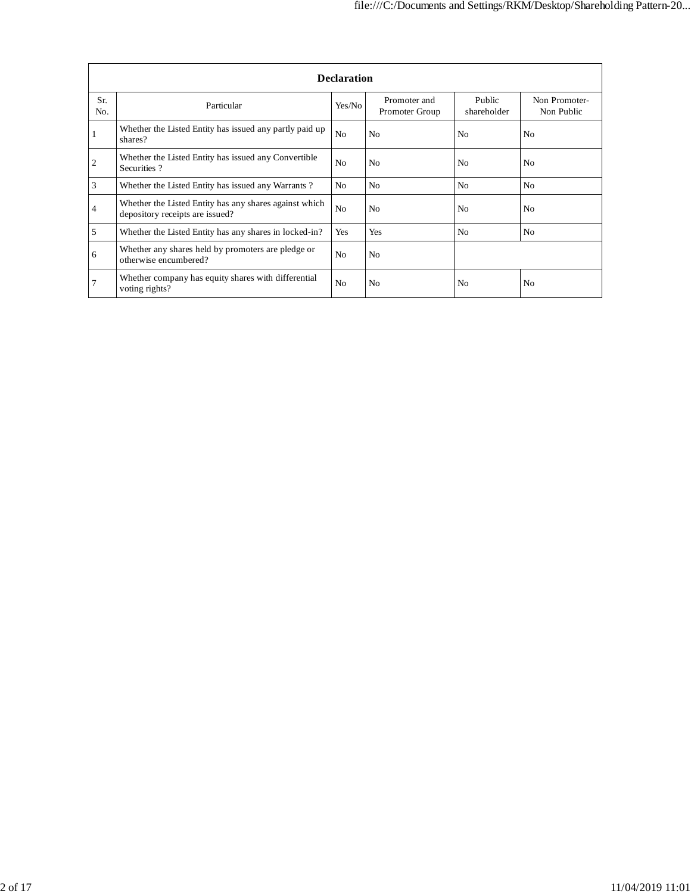|                         | <b>Declaration</b>                                                                        |                |                                |                       |                             |  |  |  |  |  |  |
|-------------------------|-------------------------------------------------------------------------------------------|----------------|--------------------------------|-----------------------|-----------------------------|--|--|--|--|--|--|
| Sr.<br>No.              | Particular                                                                                | Yes/No         | Promoter and<br>Promoter Group | Public<br>shareholder | Non Promoter-<br>Non Public |  |  |  |  |  |  |
|                         | Whether the Listed Entity has issued any partly paid up<br>shares?                        | N <sub>o</sub> | N <sub>o</sub>                 | No                    | N <sub>0</sub>              |  |  |  |  |  |  |
| $\overline{\mathbf{c}}$ | Whether the Listed Entity has issued any Convertible<br>Securities?                       | N <sub>o</sub> | N <sub>0</sub>                 | N <sub>0</sub>        | N <sub>o</sub>              |  |  |  |  |  |  |
| $\mathfrak{Z}$          | Whether the Listed Entity has issued any Warrants?                                        | N <sub>o</sub> | N <sub>0</sub>                 | No                    | N <sub>o</sub>              |  |  |  |  |  |  |
| $\overline{4}$          | Whether the Listed Entity has any shares against which<br>depository receipts are issued? | N <sub>o</sub> | N <sub>0</sub>                 | No                    | N <sub>o</sub>              |  |  |  |  |  |  |
| 5                       | Whether the Listed Entity has any shares in locked-in?                                    | Yes            | Yes                            | N <sub>0</sub>        | N <sub>o</sub>              |  |  |  |  |  |  |
| 6                       | Whether any shares held by promoters are pledge or<br>otherwise encumbered?               | N <sub>o</sub> | N <sub>0</sub>                 |                       |                             |  |  |  |  |  |  |
| .7                      | Whether company has equity shares with differential<br>voting rights?                     | N <sub>o</sub> | N <sub>0</sub>                 | No                    | N <sub>0</sub>              |  |  |  |  |  |  |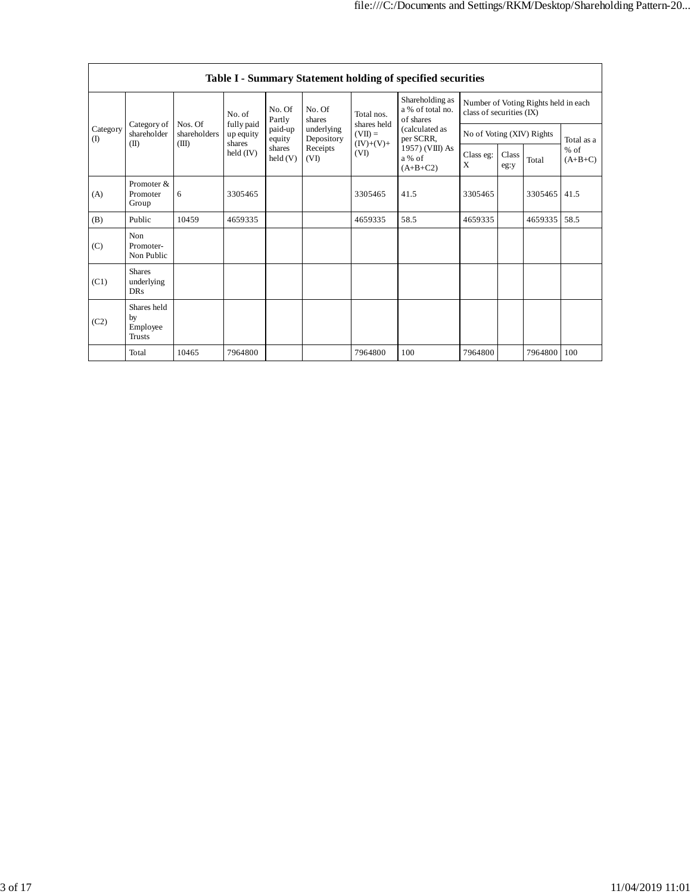|                                        | Table I - Summary Statement holding of specified securities |                         |                                   |                            |                          |                                         |                                                  |                           |               |                                      |                     |  |  |
|----------------------------------------|-------------------------------------------------------------|-------------------------|-----------------------------------|----------------------------|--------------------------|-----------------------------------------|--------------------------------------------------|---------------------------|---------------|--------------------------------------|---------------------|--|--|
| Category of<br>Category<br>(1)<br>(II) |                                                             |                         | No. of                            | No. Of<br>Partly           | No. Of<br>shares         | Total nos.                              | Shareholding as<br>a % of total no.<br>of shares | class of securities (IX)  |               | Number of Voting Rights held in each |                     |  |  |
|                                        | shareholder                                                 | Nos. Of<br>shareholders | fully paid<br>up equity<br>shares | paid-up<br>equity          | underlying<br>Depository | shares held<br>$(VII) =$<br>$(IV)+(V)+$ | (calculated as<br>per SCRR,                      | No of Voting (XIV) Rights |               |                                      | Total as a          |  |  |
|                                        |                                                             | (III)                   | $\text{held (IV)}$                | shares<br>$\text{held}(V)$ | Receipts<br>(VI)         | (VI)                                    | 1957) (VIII) As<br>a % of<br>$(A+B+C2)$          | Class eg:<br>X            | Class<br>eg:y | Total                                | $%$ of<br>$(A+B+C)$ |  |  |
| (A)                                    | Promoter &<br>Promoter<br>Group                             | 6                       | 3305465                           |                            |                          | 3305465                                 | 41.5                                             | 3305465                   |               | 3305465                              | 41.5                |  |  |
| (B)                                    | Public                                                      | 10459                   | 4659335                           |                            |                          | 4659335                                 | 58.5                                             | 4659335                   |               | 4659335                              | 58.5                |  |  |
| (C)                                    | Non<br>Promoter-<br>Non Public                              |                         |                                   |                            |                          |                                         |                                                  |                           |               |                                      |                     |  |  |
| (C1)                                   | <b>Shares</b><br>underlying<br><b>DRs</b>                   |                         |                                   |                            |                          |                                         |                                                  |                           |               |                                      |                     |  |  |
| (C2)                                   | Shares held<br>by<br>Employee<br><b>Trusts</b>              |                         |                                   |                            |                          |                                         |                                                  |                           |               |                                      |                     |  |  |
|                                        | Total                                                       | 10465                   | 7964800                           |                            |                          | 7964800                                 | 100                                              | 7964800                   |               | 7964800                              | 100                 |  |  |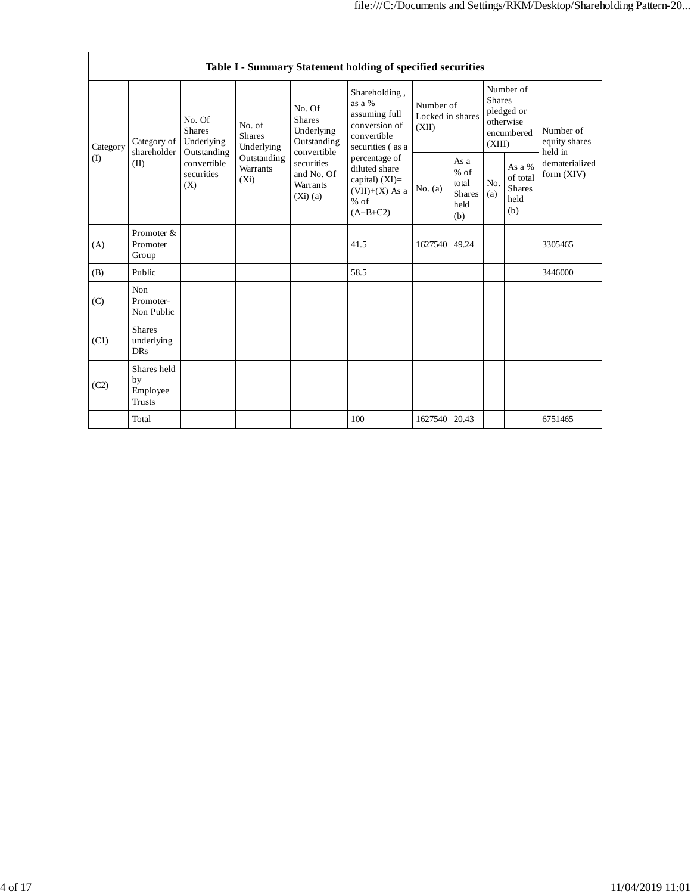|                 | Table I - Summary Statement holding of specified securities |                                                                                                                                                                         |                                                    |                                                                                                 |                                                                                              |                                                         |            |                                                                               |                              |                                       |  |  |
|-----------------|-------------------------------------------------------------|-------------------------------------------------------------------------------------------------------------------------------------------------------------------------|----------------------------------------------------|-------------------------------------------------------------------------------------------------|----------------------------------------------------------------------------------------------|---------------------------------------------------------|------------|-------------------------------------------------------------------------------|------------------------------|---------------------------------------|--|--|
| Category<br>(1) | Category of<br>shareholder<br>(II)                          | No. Of<br>No. of<br><b>Shares</b><br><b>Shares</b><br>Underlying<br>Underlying<br>Outstanding<br>Outstanding<br>convertible<br>Warrants<br>securities<br>$(X_i)$<br>(X) |                                                    | No. Of<br><b>Shares</b><br>Underlying<br>Outstanding<br>convertible                             | Shareholding,<br>as a %<br>assuming full<br>conversion of<br>convertible<br>securities (as a | Number of<br>Locked in shares<br>(XII)                  |            | Number of<br><b>Shares</b><br>pledged or<br>otherwise<br>encumbered<br>(XIII) |                              | Number of<br>equity shares<br>held in |  |  |
|                 |                                                             |                                                                                                                                                                         | securities<br>and No. Of<br>Warrants<br>$(Xi)$ (a) | percentage of<br>diluted share<br>capital) $(XI)$ =<br>$(VII)+(X)$ As a<br>$%$ of<br>$(A+B+C2)$ | No. (a)                                                                                      | As a<br>$%$ of<br>total<br><b>Shares</b><br>held<br>(b) | No.<br>(a) | As a $\%$<br>of total<br><b>Shares</b><br>held<br>(b)                         | dematerialized<br>form (XIV) |                                       |  |  |
| (A)             | Promoter &<br>Promoter<br>Group                             |                                                                                                                                                                         |                                                    |                                                                                                 | 41.5                                                                                         | 1627540                                                 | 49.24      |                                                                               |                              | 3305465                               |  |  |
| (B)             | Public                                                      |                                                                                                                                                                         |                                                    |                                                                                                 | 58.5                                                                                         |                                                         |            |                                                                               |                              | 3446000                               |  |  |
| (C)             | Non<br>Promoter-<br>Non Public                              |                                                                                                                                                                         |                                                    |                                                                                                 |                                                                                              |                                                         |            |                                                                               |                              |                                       |  |  |
| (C1)            | <b>Shares</b><br>underlying<br><b>DRs</b>                   |                                                                                                                                                                         |                                                    |                                                                                                 |                                                                                              |                                                         |            |                                                                               |                              |                                       |  |  |
| (C2)            | Shares held<br>by<br>Employee<br><b>Trusts</b>              |                                                                                                                                                                         |                                                    |                                                                                                 |                                                                                              |                                                         |            |                                                                               |                              |                                       |  |  |
|                 | Total                                                       |                                                                                                                                                                         |                                                    |                                                                                                 | 100                                                                                          | 1627540                                                 | 20.43      |                                                                               |                              | 6751465                               |  |  |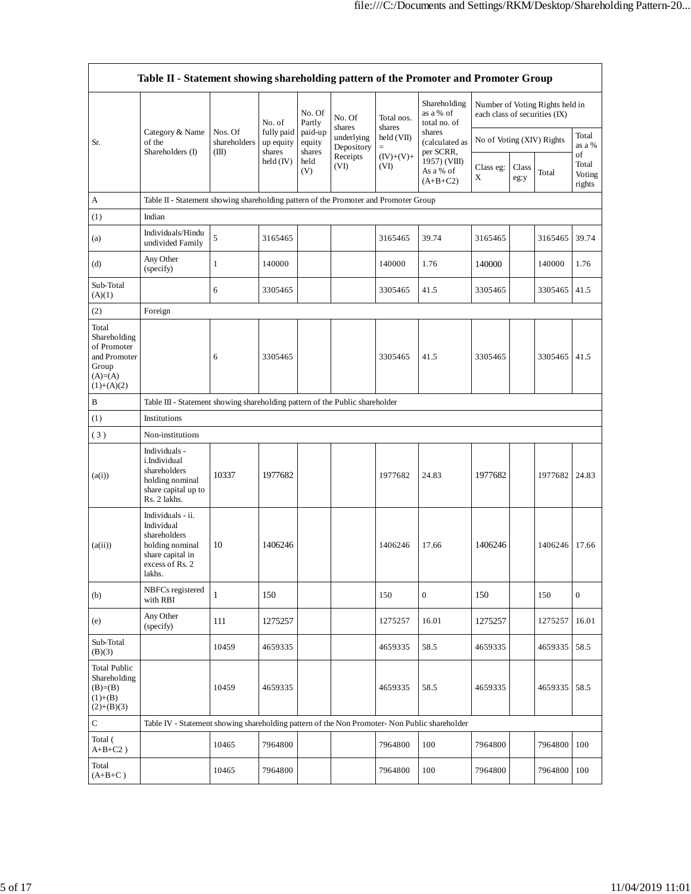|                                                                                             | Table II - Statement showing shareholding pattern of the Promoter and Promoter Group                                |                                                                              |                                             |                                                                |                                    |                      |                                           |                               |               |                                 |                                 |  |  |
|---------------------------------------------------------------------------------------------|---------------------------------------------------------------------------------------------------------------------|------------------------------------------------------------------------------|---------------------------------------------|----------------------------------------------------------------|------------------------------------|----------------------|-------------------------------------------|-------------------------------|---------------|---------------------------------|---------------------------------|--|--|
|                                                                                             |                                                                                                                     |                                                                              | No. of<br>fully paid<br>up equity<br>shares | No. Of<br>Partly<br>paid-up<br>equity<br>shares<br>held<br>(V) | No. Of                             | Total nos.           | Shareholding<br>as a % of<br>total no. of | each class of securities (IX) |               | Number of Voting Rights held in |                                 |  |  |
| Sr.                                                                                         | Category & Name<br>of the<br>Shareholders (I)                                                                       | Nos. Of<br>shareholders<br>(III)                                             |                                             |                                                                | shares<br>underlying<br>Depository | shares<br>held (VII) | shares<br>(calculated as<br>per SCRR,     | No of Voting (XIV) Rights     |               |                                 | Total<br>as a %                 |  |  |
|                                                                                             |                                                                                                                     |                                                                              | held (IV)                                   |                                                                | Receipts<br>(VI)                   | $(IV)+(V)+$<br>(VI)  | 1957) (VIII)<br>As a % of<br>$(A+B+C2)$   | Class eg:<br>X                | Class<br>eg:y | Total                           | of<br>Total<br>Voting<br>rights |  |  |
| A                                                                                           | Table II - Statement showing shareholding pattern of the Promoter and Promoter Group                                |                                                                              |                                             |                                                                |                                    |                      |                                           |                               |               |                                 |                                 |  |  |
| (1)                                                                                         | Indian                                                                                                              |                                                                              |                                             |                                                                |                                    |                      |                                           |                               |               |                                 |                                 |  |  |
| (a)                                                                                         | Individuals/Hindu<br>undivided Family                                                                               | 5                                                                            | 3165465                                     |                                                                |                                    | 3165465              | 39.74                                     | 3165465                       |               | 3165465                         | 39.74                           |  |  |
| (d)                                                                                         | Any Other<br>(specify)                                                                                              | $\mathbf{1}$                                                                 | 140000                                      |                                                                |                                    | 140000               | 1.76                                      | 140000                        |               | 140000                          | 1.76                            |  |  |
| Sub-Total<br>(A)(1)                                                                         |                                                                                                                     | 6                                                                            | 3305465                                     |                                                                |                                    | 3305465              | 41.5                                      | 3305465                       |               | 3305465                         | 41.5                            |  |  |
| (2)                                                                                         | Foreign                                                                                                             |                                                                              |                                             |                                                                |                                    |                      |                                           |                               |               |                                 |                                 |  |  |
| Total<br>Shareholding<br>of Promoter<br>and Promoter<br>Group<br>$(A)= (A)$<br>$(1)+(A)(2)$ |                                                                                                                     | 6                                                                            | 3305465                                     |                                                                |                                    | 3305465              | 41.5                                      | 3305465                       |               | 3305465                         | 41.5                            |  |  |
| $\, {\bf B}$                                                                                |                                                                                                                     | Table III - Statement showing shareholding pattern of the Public shareholder |                                             |                                                                |                                    |                      |                                           |                               |               |                                 |                                 |  |  |
| (1)                                                                                         | Institutions                                                                                                        |                                                                              |                                             |                                                                |                                    |                      |                                           |                               |               |                                 |                                 |  |  |
| (3)                                                                                         | Non-institutions                                                                                                    |                                                                              |                                             |                                                                |                                    |                      |                                           |                               |               |                                 |                                 |  |  |
| (a(i))                                                                                      | Individuals -<br>i.Individual<br>shareholders<br>holding nominal<br>share capital up to<br>Rs. 2 lakhs.             | 10337                                                                        | 1977682                                     |                                                                |                                    | 1977682              | 24.83                                     | 1977682                       |               | 1977682                         | 24.83                           |  |  |
| (a(ii))                                                                                     | Individuals - ii.<br>Individual<br>shareholders<br>holding nominal<br>share capital in<br>excess of Rs. 2<br>lakhs. | 10                                                                           | 1406246                                     |                                                                |                                    | 1406246              | 17.66                                     | 1406246                       |               | 1406246 17.66                   |                                 |  |  |
| (b)                                                                                         | NBFCs registered<br>with RBI                                                                                        | $\mathbf{1}$                                                                 | 150                                         |                                                                |                                    | 150                  | $\mathbf{0}$                              | 150                           |               | 150                             | $\mathbf{0}$                    |  |  |
| (e)                                                                                         | Any Other<br>(specify)                                                                                              | 111                                                                          | 1275257                                     |                                                                |                                    | 1275257              | 16.01                                     | 1275257                       |               | 1275257                         | 16.01                           |  |  |
| Sub-Total<br>(B)(3)                                                                         |                                                                                                                     | 10459                                                                        | 4659335                                     |                                                                |                                    | 4659335              | 58.5                                      | 4659335                       |               | 4659335                         | 58.5                            |  |  |
| <b>Total Public</b><br>Shareholding<br>$(B)=B)$<br>$(1)+(B)$<br>$(2)+(B)(3)$                |                                                                                                                     | 10459                                                                        | 4659335                                     |                                                                |                                    | 4659335              | 58.5                                      | 4659335                       |               | 4659335                         | 58.5                            |  |  |
| ${\bf C}$                                                                                   | Table IV - Statement showing shareholding pattern of the Non Promoter- Non Public shareholder                       |                                                                              |                                             |                                                                |                                    |                      |                                           |                               |               |                                 |                                 |  |  |
| Total (<br>$A+B+C2$ )                                                                       |                                                                                                                     | 10465                                                                        | 7964800                                     |                                                                |                                    | 7964800              | 100                                       | 7964800                       |               | 7964800                         | 100                             |  |  |
| Total<br>$(A+B+C)$                                                                          |                                                                                                                     | 10465                                                                        | 7964800                                     |                                                                |                                    | 7964800              | 100                                       | 7964800                       |               | 7964800                         | 100                             |  |  |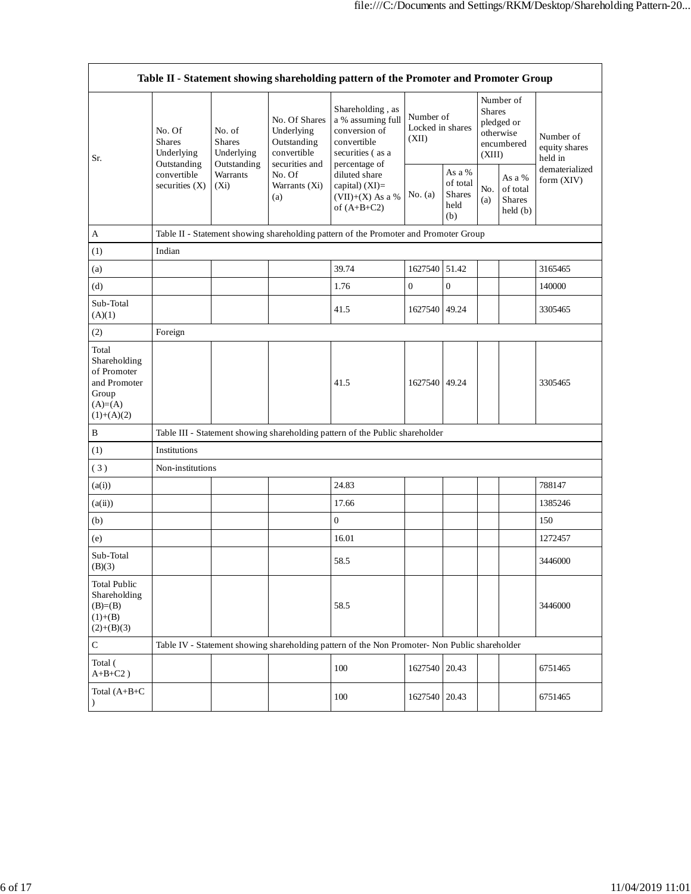| Table II - Statement showing shareholding pattern of the Promoter and Promoter Group       |                                                                                       |                                                                                                                |                                                           |                                                                                                            |                                        |                                             |                                                                               |                                                |                                       |  |
|--------------------------------------------------------------------------------------------|---------------------------------------------------------------------------------------|----------------------------------------------------------------------------------------------------------------|-----------------------------------------------------------|------------------------------------------------------------------------------------------------------------|----------------------------------------|---------------------------------------------|-------------------------------------------------------------------------------|------------------------------------------------|---------------------------------------|--|
| Sr.                                                                                        | No. Of<br><b>Shares</b><br>Underlying<br>Outstanding<br>convertible<br>securities (X) | No. of<br><b>Shares</b><br>Underlying<br>Outstanding<br>securities and<br>Warrants<br>No. Of<br>$(X_i)$<br>(a) | No. Of Shares<br>Underlying<br>Outstanding<br>convertible | Shareholding, as<br>a % assuming full<br>conversion of<br>convertible<br>securities (as a<br>percentage of | Number of<br>Locked in shares<br>(XII) |                                             | Number of<br><b>Shares</b><br>pledged or<br>otherwise<br>encumbered<br>(XIII) |                                                | Number of<br>equity shares<br>held in |  |
|                                                                                            |                                                                                       |                                                                                                                | Warrants (Xi)                                             | diluted share<br>capital) $(XI)$ =<br>$(VII)+(X)$ As a %<br>of $(A+B+C2)$                                  | No. $(a)$                              | As a %<br>of total<br>Shares<br>held<br>(b) | No.<br>(a)                                                                    | As a %<br>of total<br><b>Shares</b><br>held(b) | dematerialized<br>form (XIV)          |  |
| A                                                                                          |                                                                                       |                                                                                                                |                                                           | Table II - Statement showing shareholding pattern of the Promoter and Promoter Group                       |                                        |                                             |                                                                               |                                                |                                       |  |
| (1)                                                                                        | Indian                                                                                |                                                                                                                |                                                           |                                                                                                            |                                        |                                             |                                                                               |                                                |                                       |  |
| (a)                                                                                        |                                                                                       |                                                                                                                |                                                           | 39.74                                                                                                      | 1627540                                | 51.42                                       |                                                                               |                                                | 3165465                               |  |
| (d)                                                                                        |                                                                                       |                                                                                                                |                                                           | 1.76                                                                                                       | $\boldsymbol{0}$                       | $\boldsymbol{0}$                            |                                                                               |                                                | 140000                                |  |
| Sub-Total<br>(A)(1)                                                                        |                                                                                       |                                                                                                                |                                                           | 41.5                                                                                                       | 1627540 49.24                          |                                             |                                                                               |                                                | 3305465                               |  |
| (2)                                                                                        | Foreign                                                                               |                                                                                                                |                                                           |                                                                                                            |                                        |                                             |                                                                               |                                                |                                       |  |
| Total<br>Shareholding<br>of Promoter<br>and Promoter<br>Group<br>$(A)=(A)$<br>$(1)+(A)(2)$ |                                                                                       |                                                                                                                |                                                           | 41.5                                                                                                       | 1627540 49.24                          |                                             |                                                                               |                                                | 3305465                               |  |
| $\, {\bf B}$                                                                               |                                                                                       |                                                                                                                |                                                           | Table III - Statement showing shareholding pattern of the Public shareholder                               |                                        |                                             |                                                                               |                                                |                                       |  |
| (1)                                                                                        | Institutions                                                                          |                                                                                                                |                                                           |                                                                                                            |                                        |                                             |                                                                               |                                                |                                       |  |
| (3)                                                                                        | Non-institutions                                                                      |                                                                                                                |                                                           |                                                                                                            |                                        |                                             |                                                                               |                                                |                                       |  |
| (a(i))                                                                                     |                                                                                       |                                                                                                                |                                                           | 24.83                                                                                                      |                                        |                                             |                                                                               |                                                | 788147                                |  |
| (a(ii))                                                                                    |                                                                                       |                                                                                                                |                                                           | 17.66                                                                                                      |                                        |                                             |                                                                               |                                                | 1385246                               |  |
| (b)                                                                                        |                                                                                       |                                                                                                                |                                                           | $\boldsymbol{0}$                                                                                           |                                        |                                             |                                                                               |                                                | 150                                   |  |
| (e)                                                                                        |                                                                                       |                                                                                                                |                                                           | 16.01                                                                                                      |                                        |                                             |                                                                               |                                                | 1272457                               |  |
| Sub-Total<br>(B)(3)                                                                        |                                                                                       |                                                                                                                |                                                           | 58.5                                                                                                       |                                        |                                             |                                                                               |                                                | 3446000                               |  |
| <b>Total Public</b><br>Shareholding<br>$(B)= (B)$<br>$(1)+(B)$<br>$(2)+(B)(3)$             |                                                                                       |                                                                                                                |                                                           | 58.5                                                                                                       |                                        |                                             |                                                                               |                                                | 3446000                               |  |
| ${\bf C}$                                                                                  |                                                                                       |                                                                                                                |                                                           | Table IV - Statement showing shareholding pattern of the Non Promoter- Non Public shareholder              |                                        |                                             |                                                                               |                                                |                                       |  |
| Total (<br>$A+B+C2$ )                                                                      |                                                                                       |                                                                                                                |                                                           | 100                                                                                                        | 1627540 20.43                          |                                             |                                                                               |                                                | 6751465                               |  |
| Total (A+B+C<br>$\lambda$                                                                  |                                                                                       |                                                                                                                |                                                           | 100                                                                                                        | 1627540 20.43                          |                                             |                                                                               |                                                | 6751465                               |  |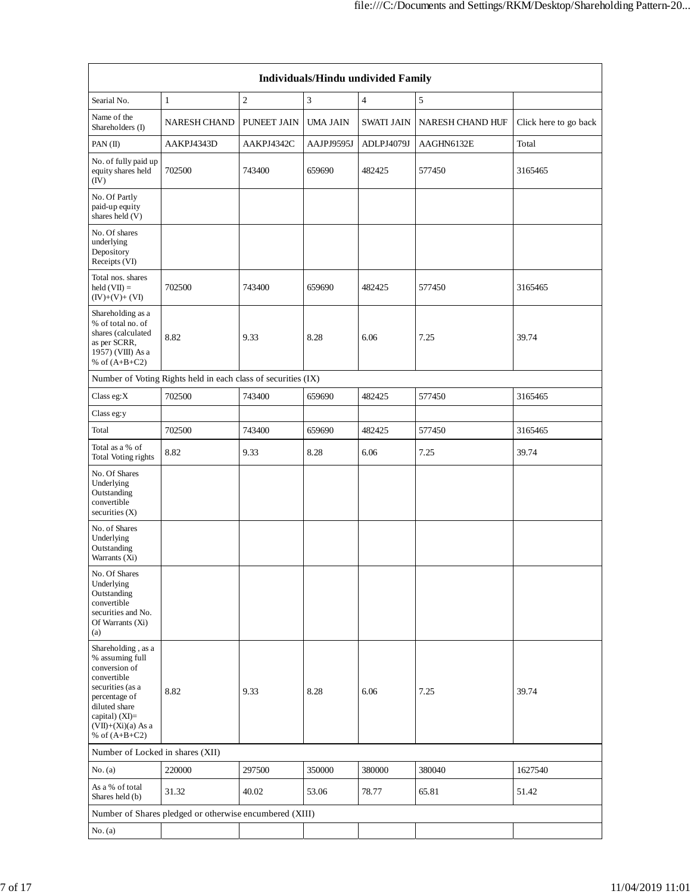| Individuals/Hindu undivided Family                                                                                                                                                       |                                                               |                    |            |                   |                  |                       |  |  |  |  |
|------------------------------------------------------------------------------------------------------------------------------------------------------------------------------------------|---------------------------------------------------------------|--------------------|------------|-------------------|------------------|-----------------------|--|--|--|--|
| Searial No.                                                                                                                                                                              | $\mathbf{1}$                                                  | $\mathfrak{2}$     | 3          | 4                 | 5                |                       |  |  |  |  |
| Name of the<br>Shareholders (I)                                                                                                                                                          | NARESH CHAND                                                  | <b>PUNEET JAIN</b> | UMA JAIN   | <b>SWATI JAIN</b> | NARESH CHAND HUF | Click here to go back |  |  |  |  |
| PAN(II)                                                                                                                                                                                  | AAKPJ4343D                                                    | AAKPJ4342C         | AAJPJ9595J | ADLPJ4079J        | AAGHN6132E       | Total                 |  |  |  |  |
| No. of fully paid up<br>equity shares held<br>(IV)                                                                                                                                       | 702500                                                        | 743400             | 659690     | 482425            | 577450           | 3165465               |  |  |  |  |
| No. Of Partly<br>paid-up equity<br>shares held (V)                                                                                                                                       |                                                               |                    |            |                   |                  |                       |  |  |  |  |
| No. Of shares<br>underlying<br>Depository<br>Receipts (VI)                                                                                                                               |                                                               |                    |            |                   |                  |                       |  |  |  |  |
| Total nos. shares<br>$held (VII) =$<br>$(IV)+(V)+(VI)$                                                                                                                                   | 702500                                                        | 743400             | 659690     | 482425            | 577450           | 3165465               |  |  |  |  |
| Shareholding as a<br>% of total no. of<br>shares (calculated<br>as per SCRR,<br>1957) (VIII) As a<br>% of $(A+B+C2)$                                                                     | 8.82                                                          | 9.33               | 8.28       | 6.06              | 7.25             | 39.74                 |  |  |  |  |
|                                                                                                                                                                                          | Number of Voting Rights held in each class of securities (IX) |                    |            |                   |                  |                       |  |  |  |  |
| Class eg:X                                                                                                                                                                               | 702500                                                        | 743400             | 659690     | 482425            | 577450           | 3165465               |  |  |  |  |
| Class eg:y                                                                                                                                                                               |                                                               |                    |            |                   |                  |                       |  |  |  |  |
| Total                                                                                                                                                                                    | 702500                                                        | 743400             | 659690     | 482425            | 577450           | 3165465               |  |  |  |  |
| Total as a % of<br>Total Voting rights                                                                                                                                                   | 8.82                                                          | 9.33               | 8.28       | 6.06              | 7.25             | 39.74                 |  |  |  |  |
| No. Of Shares<br>Underlying<br>Outstanding<br>convertible<br>securities (X)                                                                                                              |                                                               |                    |            |                   |                  |                       |  |  |  |  |
| No. of Shares<br>Underlying<br>Outstanding<br>Warrants (Xi)                                                                                                                              |                                                               |                    |            |                   |                  |                       |  |  |  |  |
| No. Of Shares<br>Underlying<br>Outstanding<br>convertible<br>securities and No.<br>Of Warrants (Xi)<br>(a)                                                                               |                                                               |                    |            |                   |                  |                       |  |  |  |  |
| Shareholding, as a<br>% assuming full<br>conversion of<br>convertible<br>securities (as a<br>percentage of<br>diluted share<br>capital) (XI)=<br>$(VII)+(Xi)(a)$ As a<br>% of $(A+B+C2)$ | 8.82                                                          | 9.33               | 8.28       | 6.06              | 7.25             | 39.74                 |  |  |  |  |
| Number of Locked in shares (XII)                                                                                                                                                         |                                                               |                    |            |                   |                  |                       |  |  |  |  |
| No. (a)                                                                                                                                                                                  | 220000                                                        | 297500             | 350000     | 380000            | 380040           | 1627540               |  |  |  |  |
| As a % of total<br>Shares held (b)                                                                                                                                                       | 31.32                                                         | 40.02              | 53.06      | 78.77             | 65.81            | 51.42                 |  |  |  |  |
|                                                                                                                                                                                          | Number of Shares pledged or otherwise encumbered (XIII)       |                    |            |                   |                  |                       |  |  |  |  |
| No. (a)                                                                                                                                                                                  |                                                               |                    |            |                   |                  |                       |  |  |  |  |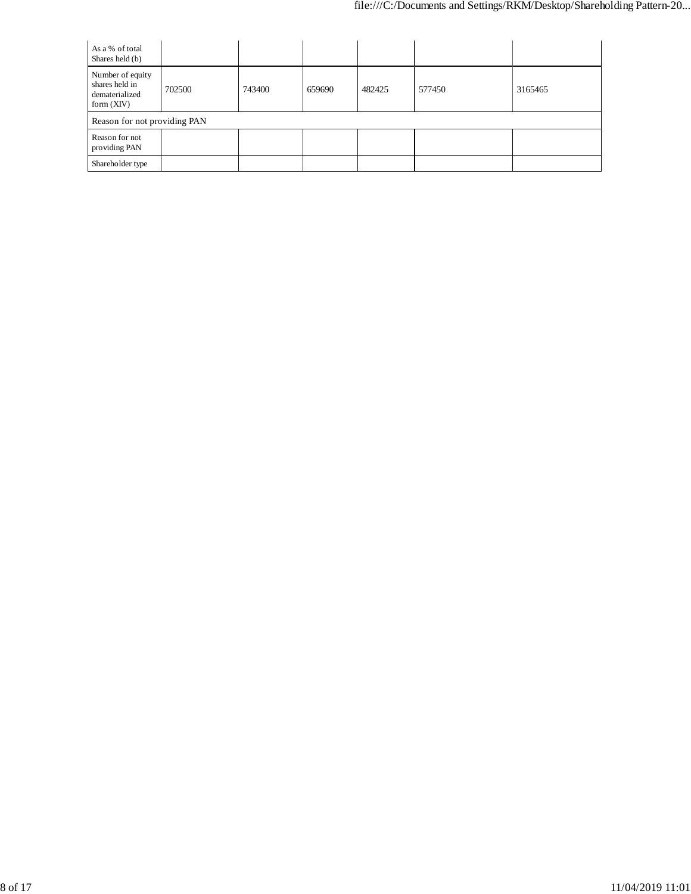| As a % of total<br>Shares held (b)                                   |        |        |        |        |        |         |
|----------------------------------------------------------------------|--------|--------|--------|--------|--------|---------|
| Number of equity<br>shares held in<br>dematerialized<br>form $(XIV)$ | 702500 | 743400 | 659690 | 482425 | 577450 | 3165465 |
| Reason for not providing PAN                                         |        |        |        |        |        |         |
| Reason for not<br>providing PAN                                      |        |        |        |        |        |         |
| Shareholder type                                                     |        |        |        |        |        |         |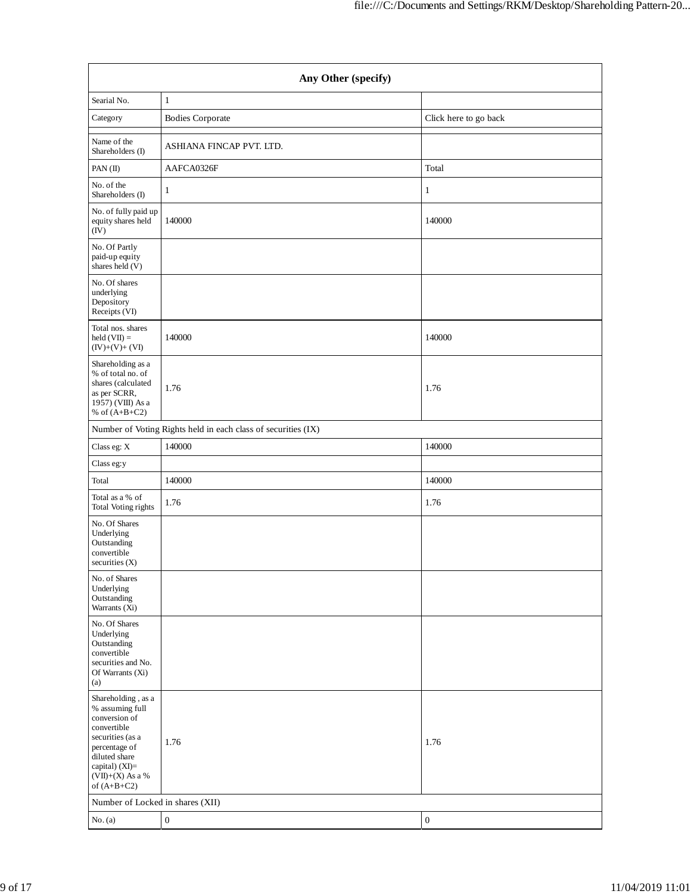|                                                                                                                                                                                      | Any Other (specify)                                           |                       |
|--------------------------------------------------------------------------------------------------------------------------------------------------------------------------------------|---------------------------------------------------------------|-----------------------|
| Searial No.                                                                                                                                                                          | $\mathbf{1}$                                                  |                       |
| Category                                                                                                                                                                             | <b>Bodies Corporate</b>                                       | Click here to go back |
| Name of the<br>Shareholders (I)                                                                                                                                                      | ASHIANA FINCAP PVT. LTD.                                      |                       |
| PAN(II)                                                                                                                                                                              | AAFCA0326F                                                    | Total                 |
| No. of the<br>Shareholders (I)                                                                                                                                                       | $\mathbf{1}$                                                  | $\mathbf{1}$          |
| No. of fully paid up<br>equity shares held<br>(IV)                                                                                                                                   | 140000                                                        | 140000                |
| No. Of Partly<br>paid-up equity<br>shares held (V)                                                                                                                                   |                                                               |                       |
| No. Of shares<br>underlying<br>Depository<br>Receipts (VI)                                                                                                                           |                                                               |                       |
| Total nos. shares<br>held $(VII) =$<br>$(IV)+(V)+(VI)$                                                                                                                               | 140000                                                        | 140000                |
| Shareholding as a<br>% of total no. of<br>shares (calculated<br>as per SCRR,<br>1957) (VIII) As a<br>% of $(A+B+C2)$                                                                 | 1.76                                                          | 1.76                  |
|                                                                                                                                                                                      | Number of Voting Rights held in each class of securities (IX) |                       |
| Class eg: X                                                                                                                                                                          | 140000                                                        | 140000                |
| Class eg:y                                                                                                                                                                           |                                                               |                       |
| Total                                                                                                                                                                                | 140000                                                        | 140000                |
| Total as a % of<br>Total Voting rights                                                                                                                                               | 1.76                                                          | 1.76                  |
| No. Of Shares<br>Underlying<br>Outstanding<br>convertible<br>securities (X)                                                                                                          |                                                               |                       |
| No. of Shares<br>Underlying<br>Outstanding<br>Warrants (Xi)                                                                                                                          |                                                               |                       |
| No. Of Shares<br>Underlying<br>Outstanding<br>convertible<br>securities and No.<br>Of Warrants (Xi)<br>(a)                                                                           |                                                               |                       |
| Shareholding, as a<br>% assuming full<br>conversion of<br>convertible<br>securities (as a<br>percentage of<br>diluted share<br>capital) (XI)=<br>$(VII)+(X)$ As a %<br>of $(A+B+C2)$ | 1.76                                                          | 1.76                  |
| Number of Locked in shares (XII)                                                                                                                                                     |                                                               |                       |
| No. (a)                                                                                                                                                                              | $\boldsymbol{0}$                                              | $\boldsymbol{0}$      |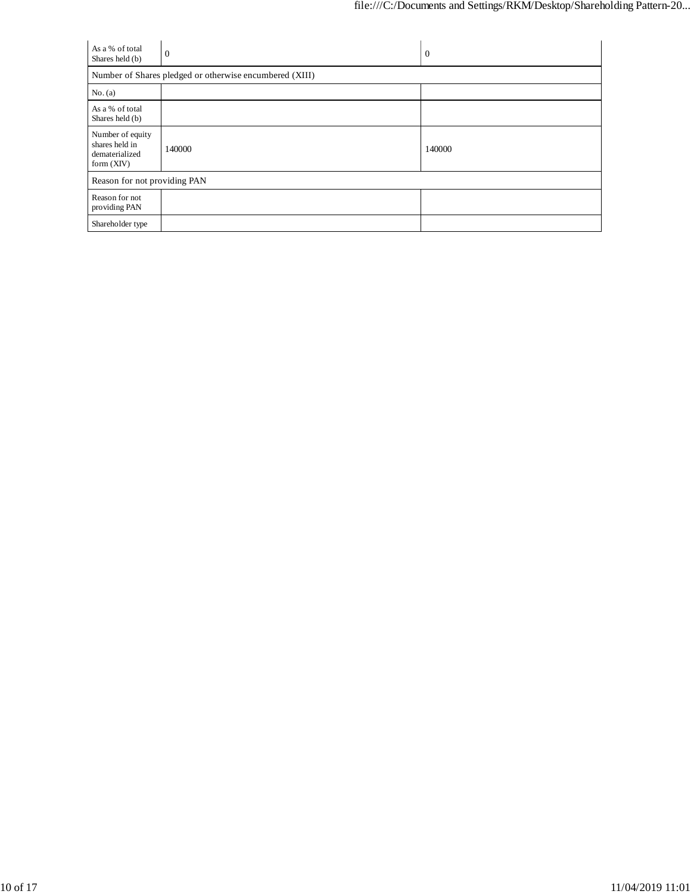| As a % of total<br>Shares held (b)                                   | $\theta$                                                | 0      |
|----------------------------------------------------------------------|---------------------------------------------------------|--------|
|                                                                      | Number of Shares pledged or otherwise encumbered (XIII) |        |
| No. (a)                                                              |                                                         |        |
| As a % of total<br>Shares held (b)                                   |                                                         |        |
| Number of equity<br>shares held in<br>dematerialized<br>form $(XIV)$ | 140000                                                  | 140000 |
| Reason for not providing PAN                                         |                                                         |        |
| Reason for not<br>providing PAN                                      |                                                         |        |
| Shareholder type                                                     |                                                         |        |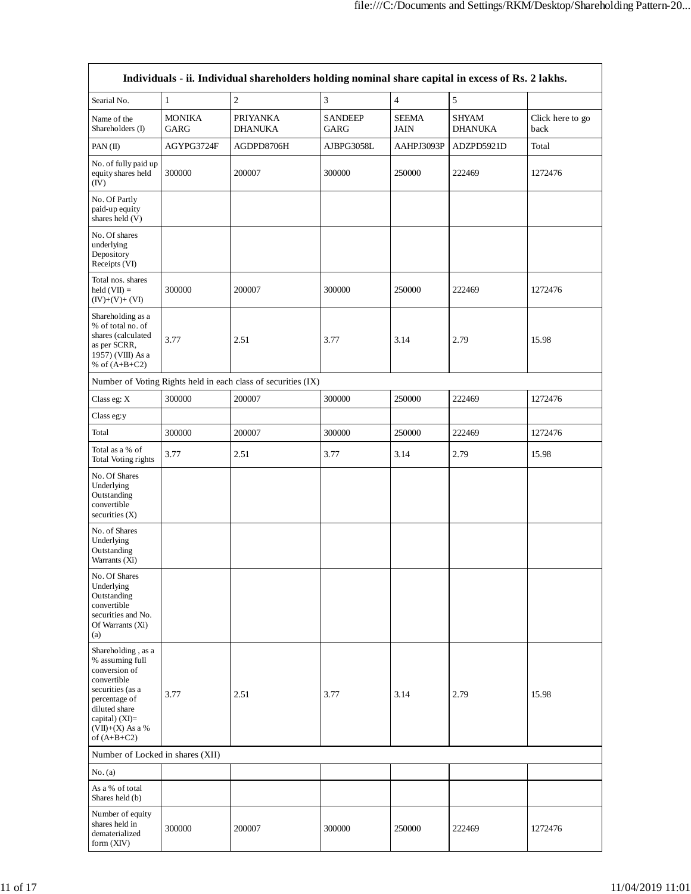|                                                                                                                                                                                      |                       | Individuals - ii. Individual shareholders holding nominal share capital in excess of Rs. 2 lakhs. |                        |                             |                                |                          |
|--------------------------------------------------------------------------------------------------------------------------------------------------------------------------------------|-----------------------|---------------------------------------------------------------------------------------------------|------------------------|-----------------------------|--------------------------------|--------------------------|
| Searial No.                                                                                                                                                                          | $\mathbf{1}$          | $\mathfrak{2}$                                                                                    | $\mathfrak{Z}$         | $\overline{4}$              | 5                              |                          |
| Name of the<br>Shareholders (I)                                                                                                                                                      | <b>MONIKA</b><br>GARG | <b>PRIYANKA</b><br><b>DHANUKA</b>                                                                 | <b>SANDEEP</b><br>GARG | <b>SEEMA</b><br><b>JAIN</b> | <b>SHYAM</b><br><b>DHANUKA</b> | Click here to go<br>back |
| PAN(II)                                                                                                                                                                              | AGYPG3724F            | AGDPD8706H                                                                                        | AJBPG3058L             | AAHPJ3093P                  | ADZPD5921D                     | Total                    |
| No. of fully paid up<br>equity shares held<br>(IV)                                                                                                                                   | 300000                | 200007                                                                                            | 300000                 | 250000                      | 222469                         | 1272476                  |
| No. Of Partly<br>paid-up equity<br>shares held (V)                                                                                                                                   |                       |                                                                                                   |                        |                             |                                |                          |
| No. Of shares<br>underlying<br>Depository<br>Receipts (VI)                                                                                                                           |                       |                                                                                                   |                        |                             |                                |                          |
| Total nos. shares<br>$\text{held}(\text{VII}) =$<br>$(IV)+(V)+(VI)$                                                                                                                  | 300000                | 200007                                                                                            | 300000                 | 250000                      | 222469                         | 1272476                  |
| Shareholding as a<br>% of total no. of<br>shares (calculated<br>as per SCRR,<br>1957) (VIII) As a<br>% of $(A+B+C2)$                                                                 | 3.77                  | 2.51                                                                                              | 3.77                   | 3.14                        | 2.79                           | 15.98                    |
|                                                                                                                                                                                      |                       | Number of Voting Rights held in each class of securities (IX)                                     |                        |                             |                                |                          |
| Class eg: X                                                                                                                                                                          | 300000                | 200007                                                                                            | 300000                 | 250000                      | 222469                         | 1272476                  |
| Class eg:y                                                                                                                                                                           |                       |                                                                                                   |                        |                             |                                |                          |
| Total                                                                                                                                                                                | 300000                | 200007                                                                                            | 300000                 | 250000                      | 222469                         | 1272476                  |
| Total as a % of<br>Total Voting rights                                                                                                                                               | 3.77                  | 2.51                                                                                              | 3.77                   | 3.14                        | 2.79                           | 15.98                    |
| No. Of Shares<br>Underlying<br>Outstanding<br>convertible<br>securities (X)                                                                                                          |                       |                                                                                                   |                        |                             |                                |                          |
| No. of Shares<br>Underlying<br>Outstanding<br>Warrants (Xi)                                                                                                                          |                       |                                                                                                   |                        |                             |                                |                          |
| No. Of Shares<br>Underlying<br>Outstanding<br>convertible<br>securities and No.<br>Of Warrants (Xi)<br>(a)                                                                           |                       |                                                                                                   |                        |                             |                                |                          |
| Shareholding, as a<br>% assuming full<br>conversion of<br>convertible<br>securities (as a<br>percentage of<br>diluted share<br>capital) (XI)=<br>$(VII)+(X)$ As a %<br>of $(A+B+C2)$ | 3.77                  | 2.51                                                                                              | 3.77                   | 3.14                        | 2.79                           | 15.98                    |
| Number of Locked in shares (XII)                                                                                                                                                     |                       |                                                                                                   |                        |                             |                                |                          |
| No. (a)                                                                                                                                                                              |                       |                                                                                                   |                        |                             |                                |                          |
| As a % of total<br>Shares held (b)                                                                                                                                                   |                       |                                                                                                   |                        |                             |                                |                          |
| Number of equity<br>shares held in<br>dematerialized<br>form (XIV)                                                                                                                   | 300000                | 200007                                                                                            | 300000                 | 250000                      | 222469                         | 1272476                  |

r.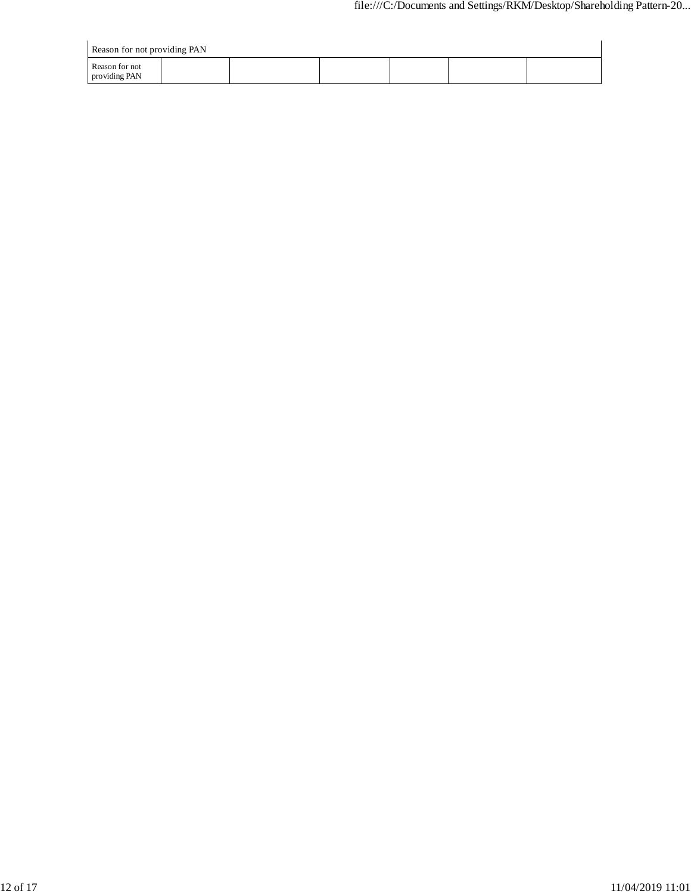| Reason for not providing PAN    |  |  |  |  |  |  |  |  |  |  |
|---------------------------------|--|--|--|--|--|--|--|--|--|--|
| Reason for not<br>providing PAN |  |  |  |  |  |  |  |  |  |  |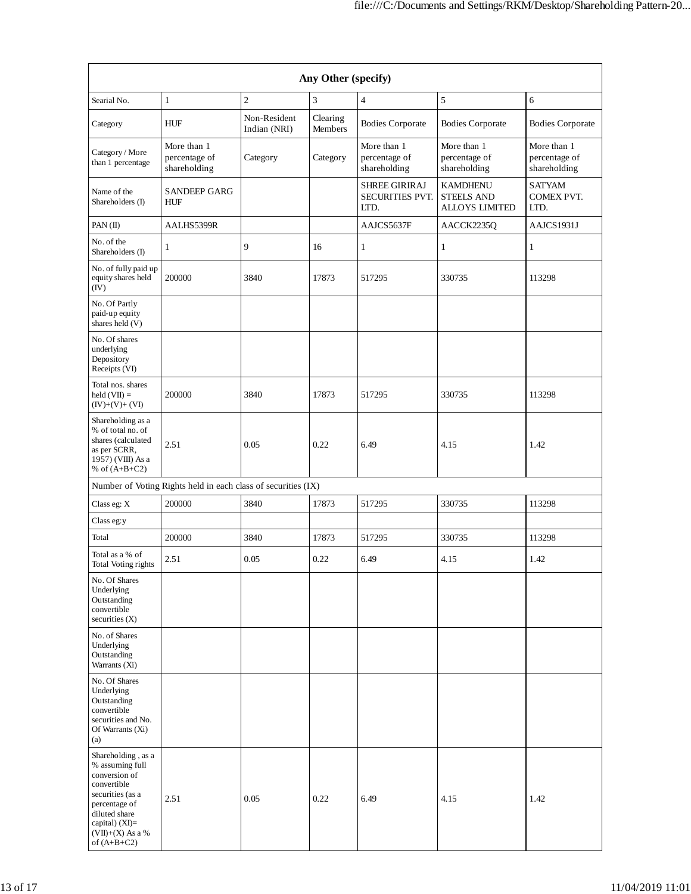| Any Other (specify)                                                                                                                                                                  |                                              |                              |                     |                                                        |                                                               |                                              |
|--------------------------------------------------------------------------------------------------------------------------------------------------------------------------------------|----------------------------------------------|------------------------------|---------------------|--------------------------------------------------------|---------------------------------------------------------------|----------------------------------------------|
| Searial No.                                                                                                                                                                          | $\mathbf{1}$                                 | $\mathbf{2}$                 | 3                   | $\overline{4}$                                         | 5                                                             | 6                                            |
| Category                                                                                                                                                                             | <b>HUF</b>                                   | Non-Resident<br>Indian (NRI) | Clearing<br>Members | <b>Bodies Corporate</b>                                | <b>Bodies Corporate</b>                                       | <b>Bodies Corporate</b>                      |
| Category / More<br>than 1 percentage                                                                                                                                                 | More than 1<br>percentage of<br>shareholding | Category                     | Category            | More than 1<br>percentage of<br>shareholding           | More than 1<br>percentage of<br>shareholding                  | More than 1<br>percentage of<br>shareholding |
| Name of the<br>Shareholders (I)                                                                                                                                                      | <b>SANDEEP GARG</b><br><b>HUF</b>            |                              |                     | <b>SHREE GIRIRAJ</b><br><b>SECURITIES PVT.</b><br>LTD. | <b>KAMDHENU</b><br><b>STEELS AND</b><br><b>ALLOYS LIMITED</b> | <b>SATYAM</b><br><b>COMEX PVT.</b><br>LTD.   |
| PAN(II)                                                                                                                                                                              | AALHS5399R                                   |                              |                     | AAJCS5637F                                             | AACCK2235Q                                                    | AAJCS1931J                                   |
| No. of the<br>Shareholders (I)                                                                                                                                                       | 1                                            | 9                            | 16                  | $\mathbf{1}$                                           | 1                                                             | 1                                            |
| No. of fully paid up<br>equity shares held<br>(IV)                                                                                                                                   | 200000                                       | 3840                         | 17873               | 517295                                                 | 330735                                                        | 113298                                       |
| No. Of Partly<br>paid-up equity<br>shares held (V)                                                                                                                                   |                                              |                              |                     |                                                        |                                                               |                                              |
| No. Of shares<br>underlying<br>Depository<br>Receipts (VI)                                                                                                                           |                                              |                              |                     |                                                        |                                                               |                                              |
| Total nos. shares<br>held $(VII) =$<br>$(IV)+(V)+(VI)$                                                                                                                               | 200000                                       | 3840                         | 17873               | 517295                                                 | 330735                                                        | 113298                                       |
| Shareholding as a<br>% of total no. of<br>shares (calculated<br>as per SCRR,<br>1957) (VIII) As a<br>% of $(A+B+C2)$                                                                 | 2.51                                         | 0.05                         | 0.22                | 6.49                                                   | 4.15                                                          | 1.42                                         |
| Number of Voting Rights held in each class of securities (IX)                                                                                                                        |                                              |                              |                     |                                                        |                                                               |                                              |
| Class eg: X                                                                                                                                                                          | 200000                                       | 3840                         | 17873               | 517295                                                 | 330735                                                        | 113298                                       |
| Class eg:y                                                                                                                                                                           |                                              |                              |                     |                                                        |                                                               |                                              |
| Total                                                                                                                                                                                | 200000                                       | 3840                         | 17873               | 517295                                                 | 330735                                                        | 113298                                       |
| Total as a % of<br>Total Voting rights                                                                                                                                               | 2.51                                         | 0.05                         | 0.22                | 6.49                                                   | 4.15                                                          | 1.42                                         |
| No. Of Shares<br>Underlying<br>Outstanding<br>convertible<br>securities $(X)$                                                                                                        |                                              |                              |                     |                                                        |                                                               |                                              |
| No. of Shares<br>Underlying<br>Outstanding<br>Warrants (Xi)                                                                                                                          |                                              |                              |                     |                                                        |                                                               |                                              |
| No. Of Shares<br>Underlying<br>Outstanding<br>convertible<br>securities and No.<br>Of Warrants (Xi)<br>(a)                                                                           |                                              |                              |                     |                                                        |                                                               |                                              |
| Shareholding, as a<br>% assuming full<br>conversion of<br>convertible<br>securities (as a<br>percentage of<br>diluted share<br>capital) (XI)=<br>$(VII)+(X)$ As a %<br>of $(A+B+C2)$ | 2.51                                         | 0.05                         | 0.22                | 6.49                                                   | 4.15                                                          | 1.42                                         |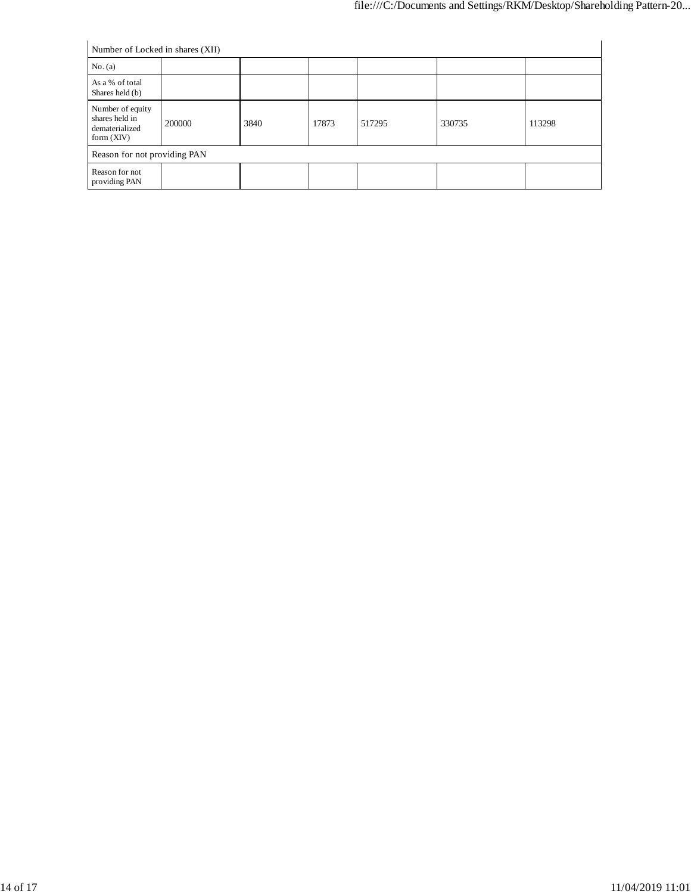| Number of Locked in shares (XII)                                     |        |      |       |        |        |        |
|----------------------------------------------------------------------|--------|------|-------|--------|--------|--------|
| No. (a)                                                              |        |      |       |        |        |        |
| As a % of total<br>Shares held (b)                                   |        |      |       |        |        |        |
| Number of equity<br>shares held in<br>dematerialized<br>form $(XIV)$ | 200000 | 3840 | 17873 | 517295 | 330735 | 113298 |
| Reason for not providing PAN                                         |        |      |       |        |        |        |
| Reason for not<br>providing PAN                                      |        |      |       |        |        |        |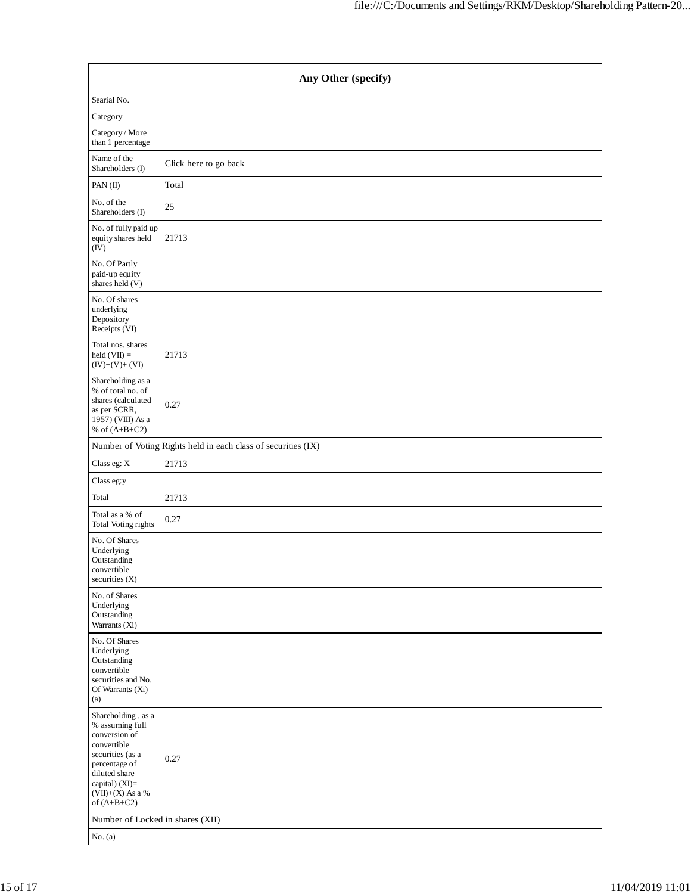| Any Other (specify)                                                                                                                                                                     |                                                               |  |  |  |  |  |
|-----------------------------------------------------------------------------------------------------------------------------------------------------------------------------------------|---------------------------------------------------------------|--|--|--|--|--|
| Searial No.                                                                                                                                                                             |                                                               |  |  |  |  |  |
| Category                                                                                                                                                                                |                                                               |  |  |  |  |  |
| Category / More<br>than 1 percentage                                                                                                                                                    |                                                               |  |  |  |  |  |
| Name of the<br>Shareholders (I)                                                                                                                                                         | Click here to go back                                         |  |  |  |  |  |
| PAN(II)                                                                                                                                                                                 | Total                                                         |  |  |  |  |  |
| No. of the<br>Shareholders (I)                                                                                                                                                          | 25                                                            |  |  |  |  |  |
| No. of fully paid up<br>equity shares held<br>(IV)                                                                                                                                      | 21713                                                         |  |  |  |  |  |
| No. Of Partly<br>paid-up equity<br>shares held (V)                                                                                                                                      |                                                               |  |  |  |  |  |
| No. Of shares<br>underlying<br>Depository<br>Receipts (VI)                                                                                                                              |                                                               |  |  |  |  |  |
| Total nos. shares<br>$held (VII) =$<br>$(IV)+(V)+(VI)$                                                                                                                                  | 21713                                                         |  |  |  |  |  |
| Shareholding as a<br>% of total no. of<br>shares (calculated<br>as per SCRR,<br>1957) (VIII) As a<br>% of $(A+B+C2)$                                                                    | 0.27                                                          |  |  |  |  |  |
|                                                                                                                                                                                         | Number of Voting Rights held in each class of securities (IX) |  |  |  |  |  |
| Class eg: X                                                                                                                                                                             | 21713                                                         |  |  |  |  |  |
| Class eg:y                                                                                                                                                                              |                                                               |  |  |  |  |  |
| Total                                                                                                                                                                                   | 21713                                                         |  |  |  |  |  |
| Total as a $\%$ of<br>Total Voting rights                                                                                                                                               | 0.27                                                          |  |  |  |  |  |
| No. Of Shares<br>Underlying<br>Outstanding<br>convertible<br>securities (X)                                                                                                             |                                                               |  |  |  |  |  |
| No. of Shares<br>Underlying<br>Outstanding<br>Warrants (Xi)                                                                                                                             |                                                               |  |  |  |  |  |
| No. Of Shares<br>Underlying<br>Outstanding<br>convertible<br>securities and No.<br>Of Warrants (Xi)<br>(a)                                                                              |                                                               |  |  |  |  |  |
| Shareholding, as a<br>% assuming full<br>conversion of<br>convertible<br>securities (as a<br>percentage of<br>diluted share<br>capital) (XI)=<br>$(VII)+(X)$ As a $\%$<br>of $(A+B+C2)$ | 0.27                                                          |  |  |  |  |  |
| Number of Locked in shares (XII)                                                                                                                                                        |                                                               |  |  |  |  |  |
| No. (a)                                                                                                                                                                                 |                                                               |  |  |  |  |  |